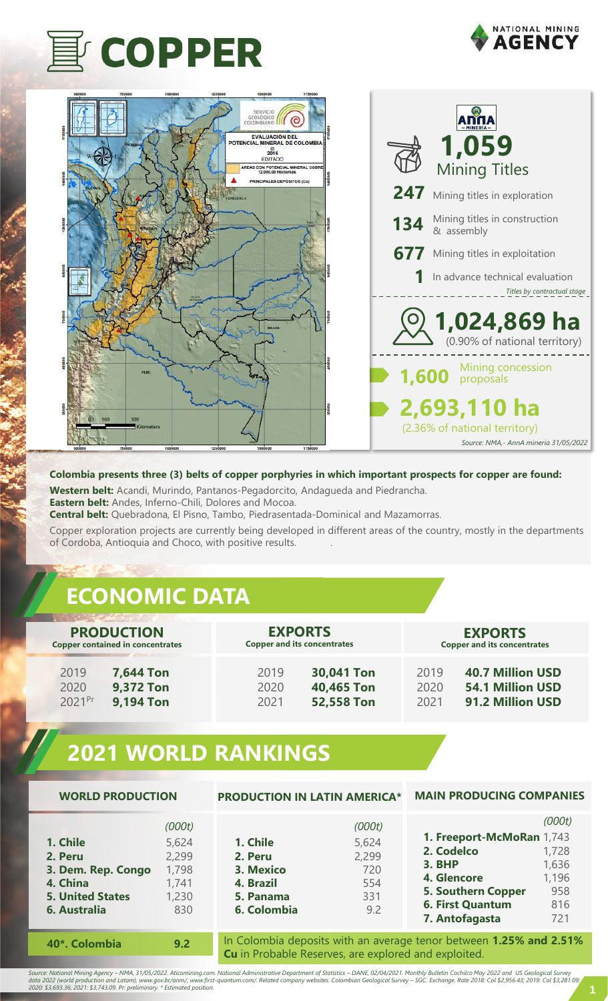





#### **Colombia presents three (3) belts of copper porphyries in which important prospects for copper are found:**

**Western belt:** Acandi, Murindo, Pantanos-Pegadorcito, Andagueda and Piedrancha. **Eastern belt:** Andes, Inferno-Chili, Dolores and Mocoa.

**Central belt:** Quebradona, El Pisno, Tambo, Piedrasentada-Dominical and Mazamorras.

Copper exploration projects are currently being developed in different areas of the country, mostly in the departments of Cordoba, Antioquia and Choco, with positive results. .

## **ECONOMIC DATA**

| <b>PRODUCTION</b>                       | <b>EXPORTS</b>                     | <b>EXPORTS</b>                     |
|-----------------------------------------|------------------------------------|------------------------------------|
| <b>Copper contained in concentrates</b> | <b>Copper and its concentrates</b> | <b>Copper and its concentrates</b> |
| 2019                                    | 30,041 Ton                         | <b>40.7 Million USD</b>            |
| <b>7,644 Ton</b>                        | 2019                               | 2019                               |
| <b>9,372 Ton</b>                        | 40,465 Ton                         | <b>54.1 Million USD</b>            |
| 2020                                    | 2020                               | 2020                               |
| <b>9,194 Ton</b>                        | 52,558 Ton                         | 91.2 Million USD                   |
| 2021Pr                                  | 2021                               | 2021                               |

## **2021 WORLD RANKINGS**

| <b>WORLD PRODUCTION</b>                                                                          |                                                            | <b>PRODUCTION IN LATIN AMERICA*</b>                                                                                        |                                                      | <b>MAIN PRODUCING COMPANIES</b>                                                                                                                   |                                                        |
|--------------------------------------------------------------------------------------------------|------------------------------------------------------------|----------------------------------------------------------------------------------------------------------------------------|------------------------------------------------------|---------------------------------------------------------------------------------------------------------------------------------------------------|--------------------------------------------------------|
| 1. Chile<br>2. Peru<br>3. Dem. Rep. Congo<br>4. China<br><b>5. United States</b><br>6. Australia | (000t)<br>5,624<br>2,299<br>1,798<br>1,741<br>1,230<br>830 | 1. Chile<br>2. Peru<br>3. Mexico<br>4. Brazil<br>5. Panama<br>6. Colombia                                                  | (000t)<br>5,624<br>2,299<br>720<br>554<br>331<br>9.2 | 1. Freeport-McMoRan 1,743<br>2. Codelco<br><b>3. BHP</b><br>4. Glencore<br><b>5. Southern Copper</b><br><b>6. First Quantum</b><br>7. Antofagasta | (000t)<br>1,728<br>1,636<br>1,196<br>958<br>816<br>721 |
| 40*. Colombia                                                                                    | 9.2                                                        | In Colombia deposits with an average tenor between 1.25% and 2.51%<br>Cu in Probable Reserves, are explored and exploited. |                                                      |                                                                                                                                                   |                                                        |

Source: National Mining Agency – NMA, 31/05/2022. Aticomining.com. National Administrative Department of Statistics – DANE, 02/04/2021. Monthly Bulletin Cochilco May 2022 and US Geological Survey<br>data 2022 (world producti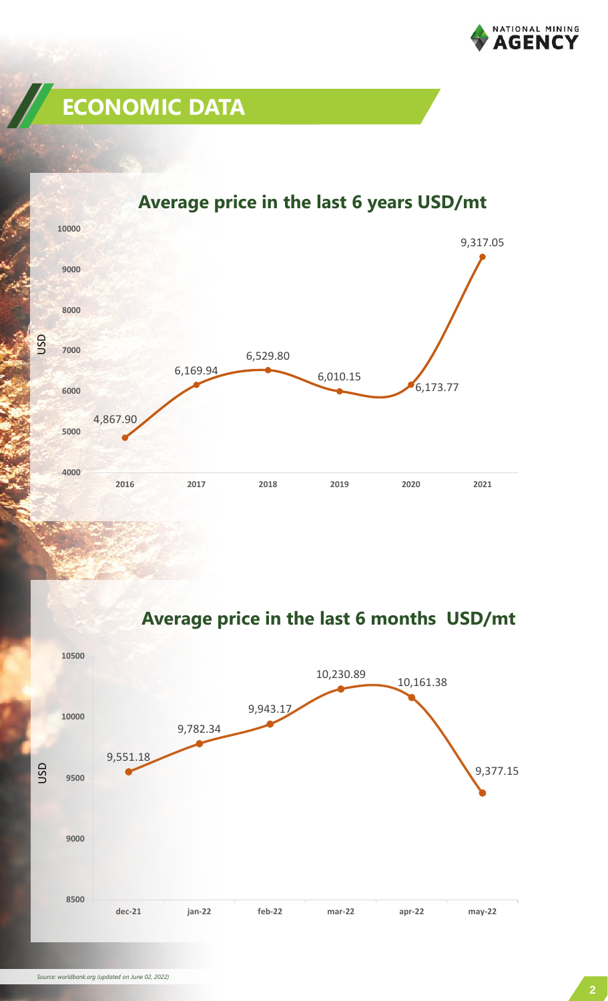

# **ECONOMIC DATA**



### **Average price in the last 6 years USD/mt**

**Average price in the last 6 months USD/mt**

![](_page_1_Figure_5.jpeg)